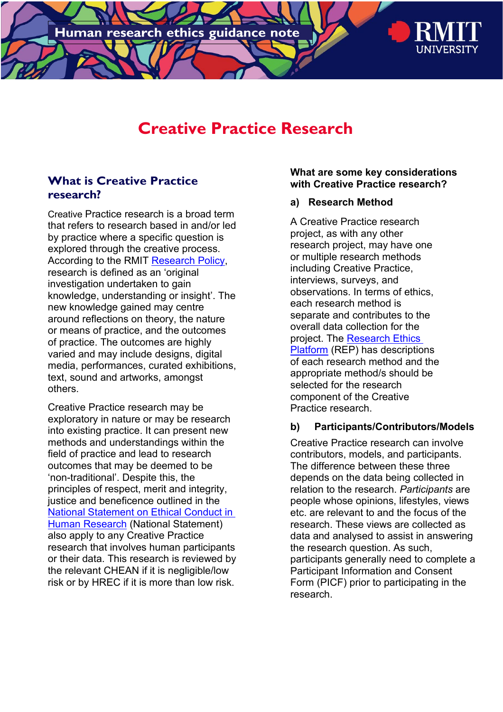

# **Creative Practice Research**

### **What is Creative Practice research?**

Creative Practice research is a broad term that refers to research based in and/or led by practice where a specific question is explored through the creative process. According to the RMIT [Research Policy,](https://policies.rmit.edu.au/document/view.php?id=28) research is defined as an 'original investigation undertaken to gain knowledge, understanding or insight'. The new knowledge gained may centre around reflections on theory, the nature or means of practice, and the outcomes of practice. The outcomes are highly varied and may include designs, digital media, performances, curated exhibitions, text, sound and artworks, amongst others.

Creative Practice research may be exploratory in nature or may be research into existing practice. It can present new methods and understandings within the field of practice and lead to research outcomes that may be deemed to be 'non-traditional'. Despite this, the principles of respect, merit and integrity, justice and beneficence outlined in the [National Statement on Ethical Conduct in](https://www.nhmrc.gov.au/about-us/publications/national-statement-ethical-conduct-human-research-2007-updated-2018#block-views-block-file-attachments-content-block-1)  [Human Research](https://www.nhmrc.gov.au/about-us/publications/national-statement-ethical-conduct-human-research-2007-updated-2018#block-views-block-file-attachments-content-block-1) (National Statement) also apply to any Creative Practice research that involves human participants or their data. This research is reviewed by the relevant CHEAN if it is negligible/low risk or by HREC if it is more than low risk.

#### **What are some key considerations with Creative Practice research?**

#### **a) Research Method**

A Creative Practice research project, as with any other research project, may have one or multiple research methods including Creative Practice, interviews, surveys, and observations. In terms of ethics, each research method is separate and contributes to the overall data collection for the project. The [Research Ethics](https://researchethics.rmit.edu.au/)  [Platform](https://researchethics.rmit.edu.au/) (REP) has descriptions of each research method and the appropriate method/s should be selected for the research component of the Creative Practice research.

#### **b) Participants/Contributors/Models**

Creative Practice research can involve contributors, models, and participants. The difference between these three depends on the data being collected in relation to the research. *Participants* are people whose opinions, lifestyles, views etc. are relevant to and the focus of the research. These views are collected as data and analysed to assist in answering the research question. As such, participants generally need to complete a Participant Information and Consent Form (PICF) prior to participating in the research.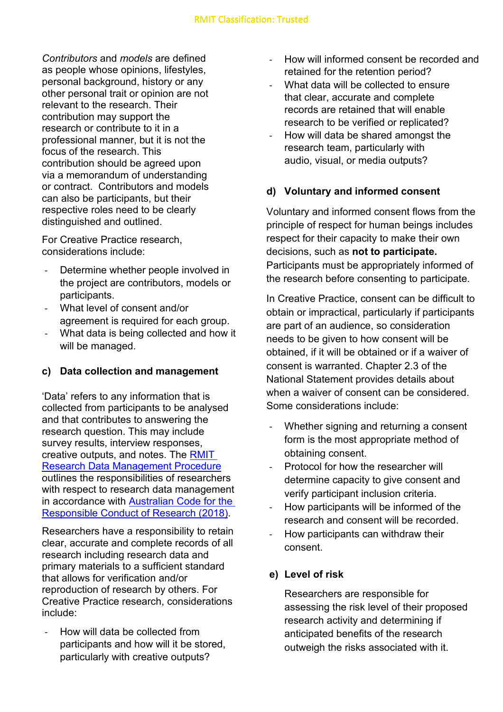*Contributors* and *models* are defined as people whose opinions, lifestyles, personal background, history or any other personal trait or opinion are not relevant to the research. Their contribution may support the research or contribute to it in a professional manner, but it is not the focus of the research. This contribution should be agreed upon via a memorandum of understanding or contract. Contributors and models can also be participants, but their respective roles need to be clearly distinguished and outlined.

For Creative Practice research, considerations include:

- Determine whether people involved in the project are contributors, models or participants.
- What level of consent and/or agreement is required for each group.
- What data is being collected and how it will be managed.

## **c) Data collection and management**

'Data' refers to any information that is collected from participants to be analysed and that contributes to answering the research question. This may include survey results, interview responses, creative outputs, and notes. The [RMIT](https://policies.rmit.edu.au/document/view.php?id=86)  [Research Data Management Procedure](https://policies.rmit.edu.au/document/view.php?id=86) outlines the responsibilities of researchers with respect to research data management in accordance with [Australian Code for the](https://www.nhmrc.gov.au/about-us/publications/australian-code-responsible-conduct-research-2018)  [Responsible Conduct of Research \(2018\).](https://www.nhmrc.gov.au/about-us/publications/australian-code-responsible-conduct-research-2018)

Researchers have a responsibility to retain clear, accurate and complete records of all research including research data and primary materials to a sufficient standard that allows for verification and/or reproduction of research by others. For Creative Practice research, considerations include:

How will data be collected from participants and how will it be stored, particularly with creative outputs?

- How will informed consent be recorded and retained for the retention period?
- What data will be collected to ensure that clear, accurate and complete records are retained that will enable research to be verified or replicated?
- How will data be shared amongst the research team, particularly with audio, visual, or media outputs?

#### **d) Voluntary and informed consent**

Voluntary and informed consent flows from the principle of respect for human beings includes respect for their capacity to make their own decisions, such as **not to participate.** Participants must be appropriately informed of the research before consenting to participate.

In Creative Practice, consent can be difficult to obtain or impractical, particularly if participants are part of an audience, so consideration needs to be given to how consent will be obtained, if it will be obtained or if a waiver of consent is warranted. Chapter 2.3 of the National Statement provides details about when a waiver of consent can be considered. Some considerations include:

- Whether signing and returning a consent form is the most appropriate method of obtaining consent.
- Protocol for how the researcher will determine capacity to give consent and verify participant inclusion criteria.
- How participants will be informed of the research and consent will be recorded.
- How participants can withdraw their consent.

#### **e) Level of risk**

Researchers are responsible for assessing the risk level of their proposed research activity and determining if anticipated benefits of the research outweigh the risks associated with it.